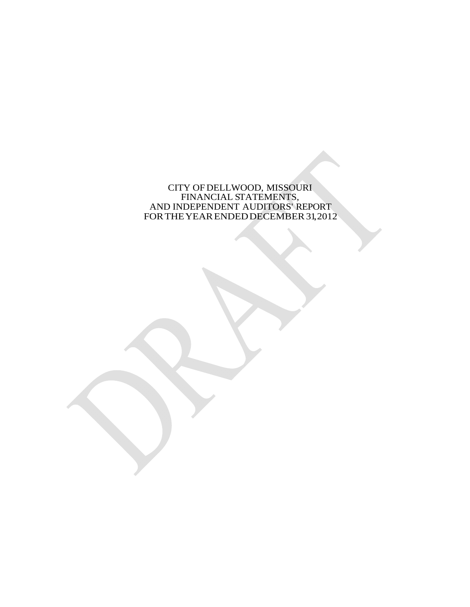CITY OF DELLWOOD, MISSOURI FINANCIAL STATEMENTS, AND INDEPENDENT AUDITORS' REPORT FOR THE YEAR ENDED DECEMBER 31, 2012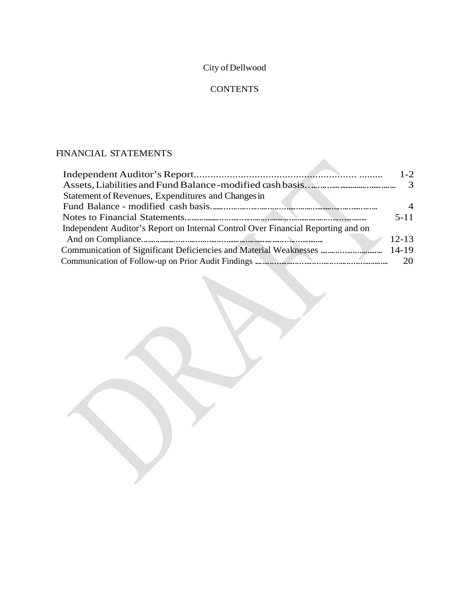# City of Dellwood

# **CONTENTS**

# FINANCIAL STATEMENTS

|                                                                                  | $1 - 2$        |
|----------------------------------------------------------------------------------|----------------|
|                                                                                  |                |
| Statement of Revenues, Expenditures and Changes in                               |                |
|                                                                                  | $\overline{4}$ |
|                                                                                  | $5 - 11$       |
| Independent Auditor's Report on Internal Control Over Financial Reporting and on |                |
|                                                                                  | $12 - 13$      |
|                                                                                  |                |
|                                                                                  |                |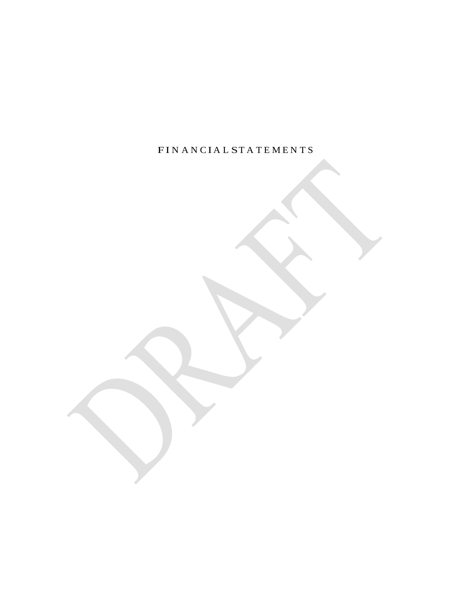FIN A N C I A L S T A T E M E N T S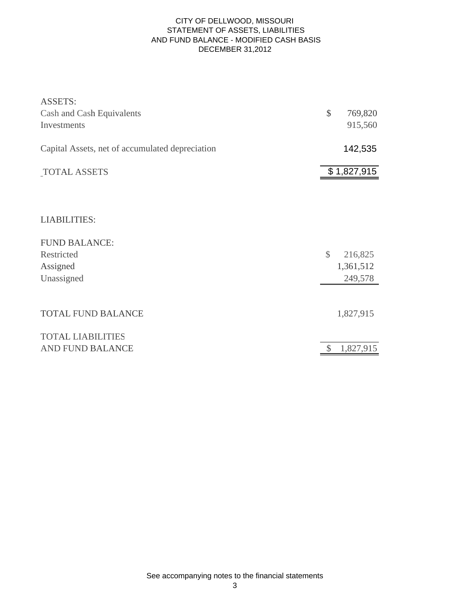#### CITY OF DELLWOOD, MISSOURI STATEMENT OF ASSETS, LIABILITIES AND FUND BALANCE - MODIFIED CASH BASIS DECEMBER 31,2012

| <b>ASSETS:</b>                                  |               |             |
|-------------------------------------------------|---------------|-------------|
| Cash and Cash Equivalents                       | \$            | 769,820     |
| Investments                                     |               | 915,560     |
| Capital Assets, net of accumulated depreciation |               | 142,535     |
| <b>TOTAL ASSETS</b>                             |               | \$1,827,915 |
|                                                 |               |             |
| <b>LIABILITIES:</b>                             |               |             |
| <b>FUND BALANCE:</b>                            |               |             |
| Restricted                                      | $\mathcal{S}$ | 216,825     |
| Assigned                                        |               | 1,361,512   |
| Unassigned                                      |               | 249,578     |
| <b>TOTAL FUND BALANCE</b>                       |               | 1,827,915   |
| <b>TOTAL LIABILITIES</b>                        |               |             |
| AND FUND BALANCE                                |               | 1,827,915   |

See accompanying notes to the financial statements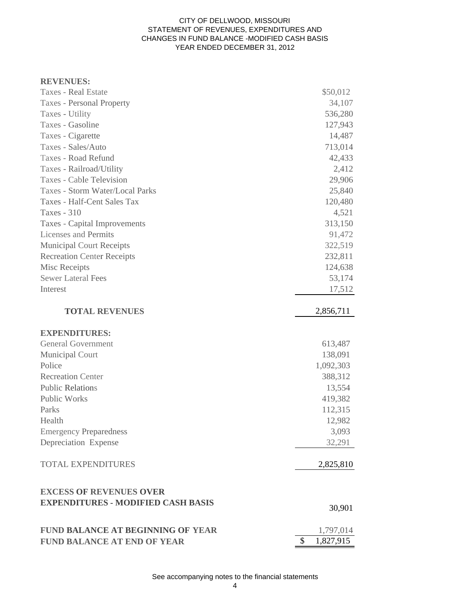#### CITY OF DELLWOOD, MISSOURI STATEMENT OF REVENUES, EXPENDITURES AND CHANGES IN FUND BALANCE -MODIFIED CASH BASIS YEAR ENDED DECEMBER 31, 2012

| <b>Taxes - Real Estate</b>                | \$50,012                   |
|-------------------------------------------|----------------------------|
| <b>Taxes - Personal Property</b>          | 34,107                     |
| Taxes - Utility                           | 536,280                    |
| Taxes - Gasoline                          | 127,943                    |
| Taxes - Cigarette                         | 14,487                     |
| Taxes - Sales/Auto                        | 713,014                    |
| Taxes - Road Refund                       | 42,433                     |
| Taxes - Railroad/Utility                  | 2,412                      |
| Taxes - Cable Television                  | 29,906                     |
| <b>Taxes - Storm Water/Local Parks</b>    | 25,840                     |
| Taxes - Half-Cent Sales Tax               | 120,480                    |
| Taxes - 310                               | 4,521                      |
| Taxes - Capital Improvements              | 313,150                    |
| Licenses and Permits                      | 91,472                     |
| <b>Municipal Court Receipts</b>           | 322,519                    |
| <b>Recreation Center Receipts</b>         | 232,811                    |
| Misc Receipts                             | 124,638                    |
| <b>Sewer Lateral Fees</b>                 | 53,174                     |
| Interest                                  | 17,512                     |
|                                           |                            |
| <b>TOTAL REVENUES</b>                     | 2,856,711                  |
| <b>EXPENDITURES:</b>                      |                            |
| <b>General Government</b>                 | 613,487                    |
| Municipal Court                           | 138,091                    |
| Police                                    | 1,092,303                  |
| <b>Recreation Center</b>                  | 388,312                    |
| <b>Public Relations</b>                   | 13,554                     |
| <b>Public Works</b>                       | 419,382                    |
| Parks                                     | 112,315                    |
| Health                                    | 12,982                     |
| <b>Emergency Preparedness</b>             | 3,093                      |
| Depreciation Expense                      | 32,291                     |
| <b>TOTAL EXPENDITURES</b>                 | 2,825,810                  |
| <b>EXCESS OF REVENUES OVER</b>            |                            |
| <b>EXPENDITURES - MODIFIED CASH BASIS</b> | 30,901                     |
| <b>FUND BALANCE AT BEGINNING OF YEAR</b>  | 1,797,014                  |
| <b>FUND BALANCE AT END OF YEAR</b>        | $\mathcal{S}$<br>1,827,915 |

See accompanying notes to the financial statements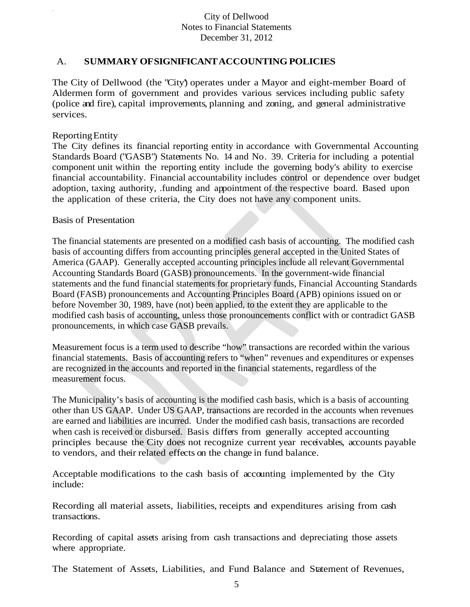### A. **SUMMARY OF SIGNIFICANT ACCOUNTING POLICIES**

The City of Dellwood (the "City') operates under a Mayor and eight-member Board of Aldermen form of government and provides various services including public safety (police and fire), capital improvements, planning and zoning, and general administrative services.

#### Reporting Entity

The City defines its financial reporting entity in accordance with Governmental Accounting Standards Board ("GASB") Statements No. 14 and No. 39. Criteria for including a potential component unit within the reporting entity include the governing body's ability to exercise financial accountability. Financial accountability includes control or dependence over budget adoption, taxing authority, .funding and appointment of the respective board. Based upon the application of these criteria, the City does not have any component units.

#### Basis of Presentation

The financial statements are presented on a modified cash basis of accounting. The modified cash basis of accounting differs from accounting principles general accepted in the United States of America (GAAP). Generally accepted accounting principles include all relevant Governmental Accounting Standards Board (GASB) pronouncements. In the government-wide financial statements and the fund financial statements for proprietary funds, Financial Accounting Standards Board (FASB) pronouncements and Accounting Principles Board (APB) opinions issued on or before November 30, 1989, have (not) been applied, to the extent they are applicable to the modified cash basis of accounting, unless those pronouncements conflict with or contradict GASB pronouncements, in which case GASB prevails.

Measurement focus is a term used to describe "how" transactions are recorded within the various financial statements. Basis of accounting refers to "when" revenues and expenditures or expenses are recognized in the accounts and reported in the financial statements, regardless of the measurement focus.

The Municipality's basis of accounting is the modified cash basis, which is a basis of accounting other than US GAAP. Under US GAAP, transactions are recorded in the accounts when revenues are earned and liabilities are incurred. Under the modified cash basis, transactions are recorded when cash is received or disbursed. Basis differs from generally accepted accounting principles because the City does not recognize current year receivables, accounts payable to vendors, and their related effects on the change in fund balance.

Acceptable modifications to the cash basis of accounting implemented by the City include:

Recording all material assets, liabilities, receipts and expenditures arising from cash transactions.

Recording of capital assets arising from cash transactions and depreciating those assets where appropriate.

The Statement of Assets, Liabilities, and Fund Balance and Statement of Revenues,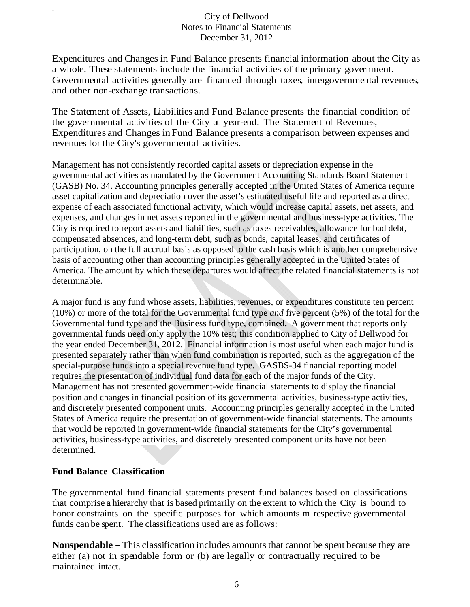Expenditures and Changes in Fund Balance presents financial information about the City as a whole. These statements include the financial activities of the primary government. Governmental activities generally are financed through taxes, intergovernmental revenues, and other non-exchange transactions.

The Statement of Assets, Liabilities and Fund Balance presents the financial condition of the governmental activities of the City at year-end. The Statement of Revenues, Expenditures and Changes in Fund Balance presents a comparison between expenses and revenues for the City's governmental activities.

Management has not consistently recorded capital assets or depreciation expense in the governmental activities as mandated by the Government Accounting Standards Board Statement (GASB) No. 34. Accounting principles generally accepted in the United States of America require asset capitalization and depreciation over the asset's estimated useful life and reported as a direct expense of each associated functional activity, which would increase capital assets, net assets, and expenses, and changes in net assets reported in the governmental and business-type activities. The City is required to report assets and liabilities, such as taxes receivables, allowance for bad debt, compensated absences, and long-term debt, such as bonds, capital leases, and certificates of participation, on the full accrual basis as opposed to the cash basis which is another comprehensive basis of accounting other than accounting principles generally accepted in the United States of America. The amount by which these departures would affect the related financial statements is not determinable.

A major fund is any fund whose assets, liabilities, revenues, or expenditures constitute ten percent (10%) or more of the total for the Governmental fund type *and* five percent (5%) of the total for the Governmental fund type and the Business fund type, combined**.** A government that reports only governmental funds need only apply the 10% test; this condition applied to City of Dellwood for the year ended December 31, 2012. Financial information is most useful when each major fund is presented separately rather than when fund combination is reported, such as the aggregation of the special-purpose funds into a special revenue fund type. GASBS-34 financial reporting model requires the presentation of individual fund data for each of the major funds of the City. Management has not presented government-wide financial statements to display the financial position and changes in financial position of its governmental activities, business-type activities, and discretely presented component units. Accounting principles generally accepted in the United States of America require the presentation of government-wide financial statements. The amounts that would be reported in government-wide financial statements for the City's governmental activities, business-type activities, and discretely presented component units have not been determined.

### **Fund Balance Classification**

The governmental fund financial statements present fund balances based on classifications that comprise a hierarchy that is based primarily on the extent to which the City is bound to honor constraints on the specific purposes for which amounts m respective governmental funds can be spent. The classifications used are as follows:

**Nonspendable** - This classification includes amounts that cannot be spent because they are either (a) not in spendable form or (b) are legally or contractually required to be maintained intact.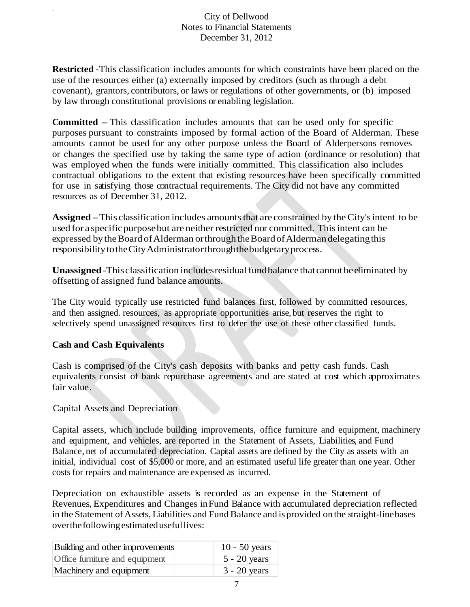**Restricted** -This classification includes amounts for which constraints have been placed on the use of the resources either (a) externally imposed by creditors (such as through a debt covenant), grantors, contributors, or laws or regulations of other governments, or (b) imposed by law through constitutional provisions or enabling legislation.

**Committed – This classification includes amounts that can be used only for specific** purposes pursuant to constraints imposed by formal action of the Board of Alderman. These amounts cannot be used for any other purpose unless the Board of Alderpersons removes or changes the specified use by taking the same type of action (ordinance or resolution) that was employed when the funds were initially committed. This classification also includes contractual obligations to the extent that existing resources have been specifically committed for use in satisfying those contractual requirements. The City did not have any committed resources as of December 31, 2012.

**Assigned** - This classification includes amounts that are constrained by the City's intent to be used for a specific purpose but are neither restricted nor committed. This intent can be expressed by the Board of Alderman or through the Board of Alderman delegating this responsibility to the City Administrator through the budgetary process.

**Unassigned** -This classification includes residual fund balance that cannot be eliminated by offsetting of assigned fund balance amounts.

The City would typically use restricted fund balances first, followed by committed resources, and then assigned. resources, as appropriate opportunities arise, but reserves the right to selectively spend unassigned resources first to defer the use of these other classified funds.

### **Cash and Cash Equivalents**

Cash is comprised of the City's cash deposits with banks and petty cash funds. Cash equivalents consist of bank repurchase agreements and are stated at cost which approximates fair value.

### Capital Assets and Depreciation

Capital assets, which include building improvements, office furniture and equipment, machinery and equipment, and vehicles, are reported in the Statement of Assets, Liabilities, and Fund Balance, net of accumulated depreciation. Capital assets are defined by the City as assets with an initial, individual cost of \$5,000 or more, and an estimated useful life greater than one year. Other costs for repairs and maintenance are expensed as incurred.

Depreciation on exhaustible assets is recorded as an expense in the Statement of Revenues, Expenditures and Changes in Fund Balance with accumulated depreciation reflected in the Statement of Assets, Liabilities and Fund Balance and is provided on the straight-line bases over the following estimated useful lives:

| Building and other improvements | $10 - 50$ years |
|---------------------------------|-----------------|
| Office furniture and equipment  | $5 - 20$ years  |
| Machinery and equipment         | $3 - 20$ years  |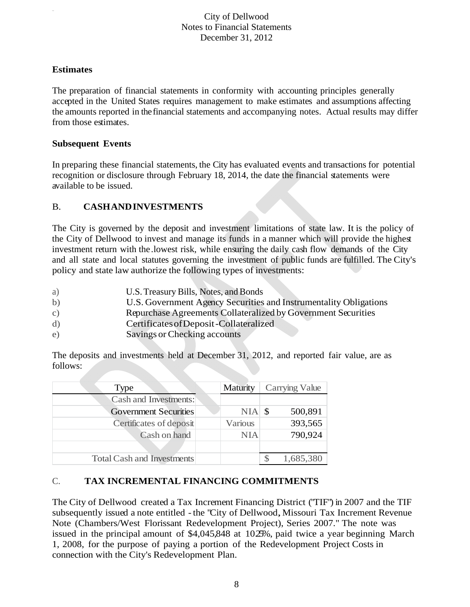### **Estimates**

The preparation of financial statements in conformity with accounting principles generally accepted in the United States requires management to make estimates and assumptions affecting the amounts reported in the financial statements and accompanying notes. Actual results may differ from those estimates.

### **Subsequent Events**

In preparing these financial statements, the City has evaluated events and transactions for potential recognition or disclosure through February 18, 2014, the date the financial statements were available to be issued.

### B. **CASH AND INVESTMENTS**

The City is governed by the deposit and investment limitations of state law. It is the policy of the City of Dellwood to invest and manage its funds in a manner which will provide the highest investment return with the .lowest risk, while ensuring the daily cash flow demands of the City and all state and local statutes governing the investment of public funds are fulfilled. The City's policy and state law authorize the following types of investments:

- a) U.S. Treasury Bills, Notes, and Bonds
- b) U.S. Government Agency Securities and Instrumentality Obligations
- c) Repurchase Agreements Collateralized by Government Securities
- d) Certificates of Deposit -Collateralized
- e) Savings or Checking accounts

The deposits and investments held at December 31, 2012, and reported fair value, are as follows:

| Type                              | Maturity   | Carrying Value |
|-----------------------------------|------------|----------------|
| Cash and Investments:             |            |                |
| <b>Government Securities</b>      | $NIA$ \$   | 500,891        |
| Certificates of deposit           | Various    | 393,565        |
| Cash on hand                      | <b>NIA</b> | 790,924        |
|                                   |            |                |
| <b>Total Cash and Investments</b> |            | 1,685,380      |

### C. **TAX INCREMENTAL FINANCING COMMITMENTS**

The City of Dellwood created a Tax Increment Financing District ("TIF") in 2007 and the TIF subsequently issued a note entitled - the "City of Dellwood, Missouri Tax Increment Revenue Note (Chambers/West Florissant Redevelopment Project), Series 2007." The note was issued in the principal amount of \$4,045,848 at 1025%, paid twice a year beginning March 1, 2008, for the purpose of paying a portion of the Redevelopment Project Costs in connection with the City's Redevelopment Plan.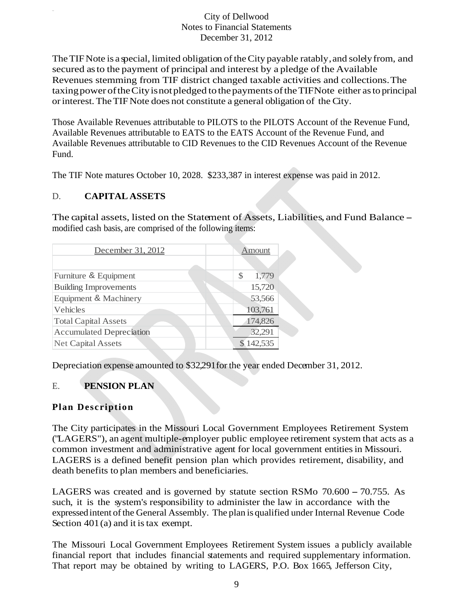The TIF Note is a special, limited obligation of the City payable ratably , and solely from, and secured as to the payment of principal and interest by a pledge of the Available Revenues stemming from TIF district changed taxable activities and collections. The taxing power of the City is not pledged to the payments of the TIF Note either as to principal or interest. The TIF Note does not constitute a general obligation of the City.

Those Available Revenues attributable to PILOTS to the PILOTS Account of the Revenue Fund, Available Revenues attributable to EATS to the EATS Account of the Revenue Fund, and Available Revenues attributable to CID Revenues to the CID Revenues Account of the Revenue Fund.

The TIF Note matures October 10, 2028. \$233,387 in interest expense was paid in 2012.

## D. **CAPITAL ASSETS**

The capital assets, listed on the Statement of Assets, Liabilities, and Fund Balance modified cash basis, are comprised of the following items:

| December 31, 2012               | Amount      |  |
|---------------------------------|-------------|--|
|                                 |             |  |
| Furniture & Equipment           | \$<br>1,779 |  |
| <b>Building Improvements</b>    | 15,720      |  |
| Equipment & Machinery           | 53,566      |  |
| Vehicles                        | 103,761     |  |
| <b>Total Capital Assets</b>     | 174,826     |  |
| <b>Accumulated Depreciation</b> | 32,291      |  |
| <b>Net Capital Assets</b>       | 142,535     |  |

Depreciation expense amounted to \$32,291for the year ended December 31, 2012.

# E. **PENSION PLAN**

### **Plan Description**

The City participates in the Missouri Local Government Employees Retirement System ("LAGERS"), an agent multiple-employer public employee retirement system that acts as a common investment and administrative agent for local government entities in Missouri. LAGERS is a defined benefit pension plan which provides retirement, disability, and death benefits to plan members and beneficiaries.

LAGERS was created and is governed by statute section RSMo 70.600 – 70.755. As such, it is the system's responsibility to administer the law in accordance with the expressed intent of the General Assembly. The plan is qualified under Internal Revenue Code Section 401(a) and it is tax exempt.

The Missouri Local Government Employees Retirement System issues a publicly available financial report that includes financial statements and required supplementary information. That report may be obtained by writing to LAGERS, P.O. Box 1665, Jefferson City,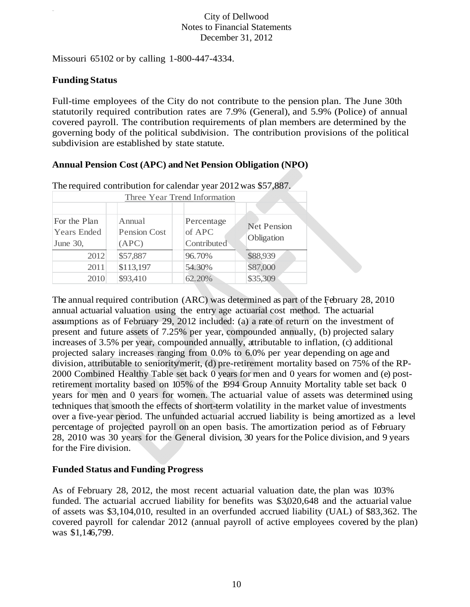Missouri 65102 or by calling 1-800-447-4334.

### **Funding Status**

Full-time employees of the City do not contribute to the pension plan. The June 30th statutorily required contribution rates are 7.9% (General), and 5.9% (Police) of annual covered payroll. The contribution requirements of plan members are determined by the governing body of the political subdivision. The contribution provisions of the political subdivision are established by state statute.

# **Annual Pension Cost (APC) and Net Pension Obligation (NPO)**

| Three Year Trend Information                   |                                        |                                     |                                  |
|------------------------------------------------|----------------------------------------|-------------------------------------|----------------------------------|
|                                                |                                        |                                     |                                  |
| For the Plan<br><b>Years Ended</b><br>June 30, | Annual<br><b>Pension Cost</b><br>(APC) | Percentage<br>of APC<br>Contributed | <b>Net Pension</b><br>Obligation |
| 2012                                           | \$57,887                               | 96.70%                              | \$88,939                         |
| 2011                                           | \$113,197                              | 54.30%                              | \$87,000                         |
| 2010                                           | \$93,410                               | 62.20%                              | \$35,309                         |

The required contribution for calendar year 2012 was \$57,887.

1 The annual required contribution (ARC) was determined as part of the February 28, 2010 annual actuarial valuation using the entry age actuarial cost method. The actuarial assumptions as of February 29, 2012 included: (a) a rate of return on the investment of present and future assets of 7.25% per year, compounded annually, (b) projected salary increases of 3.5% per year, compounded annually, attributable to inflation, (c) additional projected salary increases ranging from 0.0% to 6.0% per year depending on age and division, attributable to seniority/merit, (d) pre-retirement mortality based on 75% of the RP-2000 Combined Healthy Table set back 0 years for men and 0 years for women and (e) postretirement mortality based on 105% of the 1994 Group Annuity Mortality table set back 0 years for men and 0 years for women. The actuarial value of assets was determined using techniques that smooth the effects of short-term volatility in the market value of investments over a five-year period. The unfunded actuarial accrued liability is being amortized as a level percentage of projected payroll on an open basis. The amortization period as of February 28, 2010 was 30 years for the General division, 30 years for the Police division, and 9 years for the Fire division.

### **Funded Status and Funding Progress**

As of February 28, 2012, the most recent actuarial valuation date, the plan was 103% funded. The actuarial accrued liability for benefits was \$3,020,648 and the actuarial value of assets was \$3,104,010, resulted in an overfunded accrued liability (UAL) of \$83,362. The covered payroll for calendar 2012 (annual payroll of active employees covered by the plan) was \$1,146,799.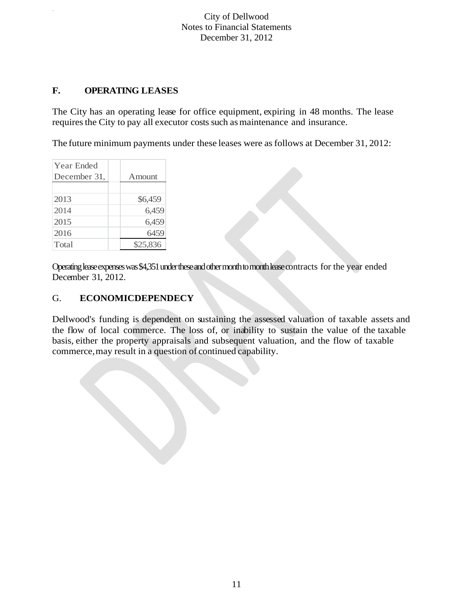## **F. OPERATING LEASES**

The City has an operating lease for office equipment, expiring in 48 months. The lease requires the City to pay all executor costs such as maintenance and insurance.

The future minimum payments under these leases were as follows at December 31, 2012:

| Year Ended   |                |
|--------------|----------------|
| December 31, | <b>A</b> mount |
|              |                |
| 2013         | \$6,459        |
| 2014         | 6,459          |
| 2015         | 6,459          |
| 2016         | 6459           |
| Total        | \$25,836       |

Operating lease expenses was \$4,351 under these and other month to month lease contracts for the year ended December 31, 2012.

### G. **ECONOMICDEPENDECY**

Dellwood's funding is dependent on sustaining the assessed valuation of taxable assets and the flow of local commerce. The loss of, or inability to sustain the value of the taxable basis, either the property appraisals and subsequent valuation, and the flow of taxable commerce, may result in a question of continued capability.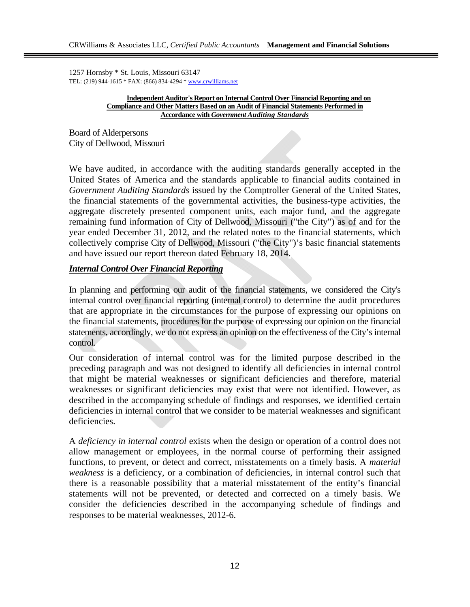1257 Hornsby \* St. Louis, Missouri 63147 TEL: (219) 944-1615 \* FAX: (866) 834-4294 \* www.crwilliams.net

> **Independent Auditor's Report on Internal Control Over Financial Reporting and on Compliance and Other Matters Based on an Audit of Financial Statements Performed in Accordance with** *Government Auditing Standards*

Board of Alderpersons City of Dellwood, Missouri

We have audited, in accordance with the auditing standards generally accepted in the United States of America and the standards applicable to financial audits contained in *Government Auditing Standards* issued by the Comptroller General of the United States, the financial statements of the governmental activities, the business-type activities, the aggregate discretely presented component units, each major fund, and the aggregate remaining fund information of City of Dellwood, Missouri ("the City") as of and for the year ended December 31, 2012, and the related notes to the financial statements, which collectively comprise City of Dellwood, Missouri ("the City")'s basic financial statements and have issued our report thereon dated February 18, 2014.

### *Internal Control Over Financial Reporting*

In planning and performing our audit of the financial statements, we considered the City's internal control over financial reporting (internal control) to determine the audit procedures that are appropriate in the circumstances for the purpose of expressing our opinions on the financial statements, procedures for the purpose of expressing our opinion on the financial statements, accordingly, we do not express an opinion on the effectiveness of the City's internal control.

Our consideration of internal control was for the limited purpose described in the preceding paragraph and was not designed to identify all deficiencies in internal control that might be material weaknesses or significant deficiencies and therefore, material weaknesses or significant deficiencies may exist that were not identified. However, as described in the accompanying schedule of findings and responses, we identified certain deficiencies in internal control that we consider to be material weaknesses and significant deficiencies.

A *deficiency in internal control* exists when the design or operation of a control does not allow management or employees, in the normal course of performing their assigned functions, to prevent, or detect and correct, misstatements on a timely basis. A *material weakness* is a deficiency, or a combination of deficiencies, in internal control such that there is a reasonable possibility that a material misstatement of the entity's financial statements will not be prevented, or detected and corrected on a timely basis. We consider the deficiencies described in the accompanying schedule of findings and responses to be material weaknesses, 2012-6.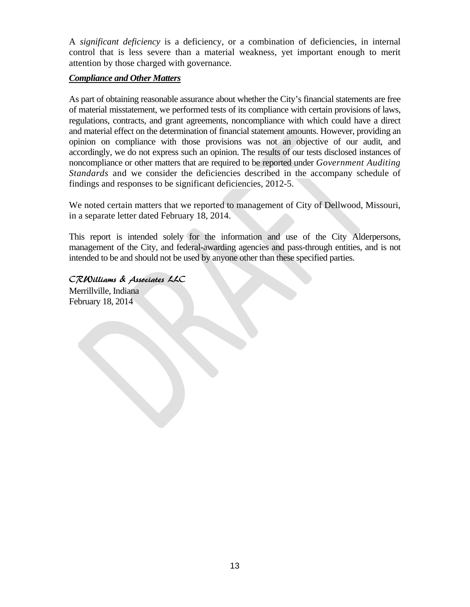A *significant deficiency* is a deficiency, or a combination of deficiencies, in internal control that is less severe than a material weakness, yet important enough to merit attention by those charged with governance.

### *Compliance and Other Matters*

As part of obtaining reasonable assurance about whether the City's financial statements are free of material misstatement, we performed tests of its compliance with certain provisions of laws, regulations, contracts, and grant agreements, noncompliance with which could have a direct and material effect on the determination of financial statement amounts. However, providing an opinion on compliance with those provisions was not an objective of our audit, and accordingly, we do not express such an opinion. The results of our tests disclosed instances of noncompliance or other matters that are required to be reported under *Government Auditing Standards* and we consider the deficiencies described in the accompany schedule of findings and responses to be significant deficiencies, 2012-5.

We noted certain matters that we reported to management of City of Dellwood, Missouri, in a separate letter dated February 18, 2014.

This report is intended solely for the information and use of the City Alderpersons, management of the City, and federal-awarding agencies and pass-through entities, and is not intended to be and should not be used by anyone other than these specified parties.

CRWilliams & Associates LLC Merrillville, Indiana February 18, 2014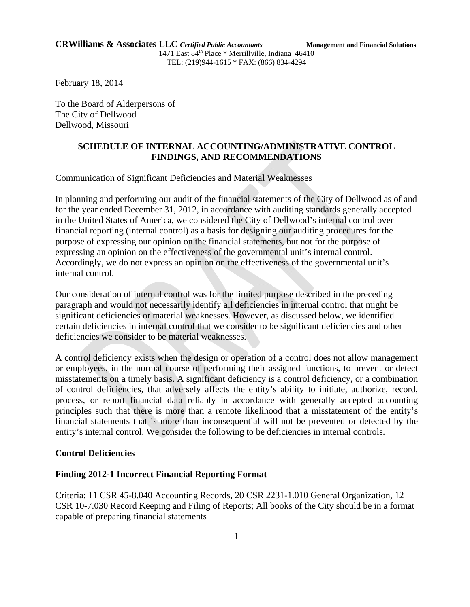February 18, 2014

To the Board of Alderpersons of The City of Dellwood Dellwood, Missouri

#### **SCHEDULE OF INTERNAL ACCOUNTING/ADMINISTRATIVE CONTROL FINDINGS, AND RECOMMENDATIONS**

Communication of Significant Deficiencies and Material Weaknesses

In planning and performing our audit of the financial statements of the City of Dellwood as of and for the year ended December 31, 2012, in accordance with auditing standards generally accepted in the United States of America, we considered the City of Dellwood's internal control over financial reporting (internal control) as a basis for designing our auditing procedures for the purpose of expressing our opinion on the financial statements, but not for the purpose of expressing an opinion on the effectiveness of the governmental unit's internal control. Accordingly, we do not express an opinion on the effectiveness of the governmental unit's internal control.

Our consideration of internal control was for the limited purpose described in the preceding paragraph and would not necessarily identify all deficiencies in internal control that might be significant deficiencies or material weaknesses. However, as discussed below, we identified certain deficiencies in internal control that we consider to be significant deficiencies and other deficiencies we consider to be material weaknesses.

A control deficiency exists when the design or operation of a control does not allow management or employees, in the normal course of performing their assigned functions, to prevent or detect misstatements on a timely basis. A significant deficiency is a control deficiency, or a combination of control deficiencies, that adversely affects the entity's ability to initiate, authorize, record, process, or report financial data reliably in accordance with generally accepted accounting principles such that there is more than a remote likelihood that a misstatement of the entity's financial statements that is more than inconsequential will not be prevented or detected by the entity's internal control. We consider the following to be deficiencies in internal controls.

### **Control Deficiencies**

### **Finding 2012-1 Incorrect Financial Reporting Format**

Criteria: 11 CSR 45-8.040 Accounting Records, 20 CSR 2231-1.010 General Organization, 12 CSR 10-7.030 Record Keeping and Filing of Reports; All books of the City should be in a format capable of preparing financial statements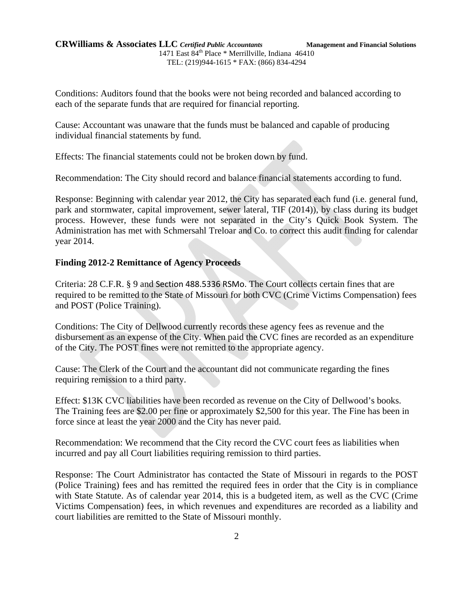#### **CRWilliams & Associates LLC** *Certified Public Accountants* **Management and Financial Solutions** 1471 East 84<sup>th</sup> Place \* Merrillville, Indiana 46410 TEL: (219)944-1615 \* FAX: (866) 834-4294

Conditions: Auditors found that the books were not being recorded and balanced according to each of the separate funds that are required for financial reporting.

Cause: Accountant was unaware that the funds must be balanced and capable of producing individual financial statements by fund.

Effects: The financial statements could not be broken down by fund.

Recommendation: The City should record and balance financial statements according to fund.

Response: Beginning with calendar year 2012, the City has separated each fund (i.e. general fund, park and stormwater, capital improvement, sewer lateral, TIF (2014)), by class during its budget process. However, these funds were not separated in the City's Quick Book System. The Administration has met with Schmersahl Treloar and Co. to correct this audit finding for calendar year 2014.

#### **Finding 2012-2 Remittance of Agency Proceeds**

Criteria: 28 C.F.R. § 9 and Section 488.5336 RSMo. The Court collects certain fines that are required to be remitted to the State of Missouri for both CVC (Crime Victims Compensation) fees and POST (Police Training).

Conditions: The City of Dellwood currently records these agency fees as revenue and the disbursement as an expense of the City. When paid the CVC fines are recorded as an expenditure of the City. The POST fines were not remitted to the appropriate agency.

Cause: The Clerk of the Court and the accountant did not communicate regarding the fines requiring remission to a third party.

Effect: \$13K CVC liabilities have been recorded as revenue on the City of Dellwood's books. The Training fees are \$2.00 per fine or approximately \$2,500 for this year. The Fine has been in force since at least the year 2000 and the City has never paid.

Recommendation: We recommend that the City record the CVC court fees as liabilities when incurred and pay all Court liabilities requiring remission to third parties.

Response: The Court Administrator has contacted the State of Missouri in regards to the POST (Police Training) fees and has remitted the required fees in order that the City is in compliance with State Statute. As of calendar year 2014, this is a budgeted item, as well as the CVC (Crime Victims Compensation) fees, in which revenues and expenditures are recorded as a liability and court liabilities are remitted to the State of Missouri monthly.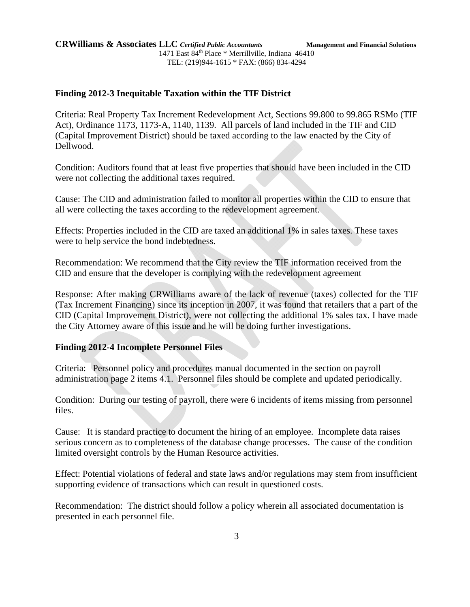Criteria: Real Property Tax Increment Redevelopment Act, Sections 99.800 to 99.865 RSMo (TIF Act), Ordinance 1173, 1173-A, 1140, 1139. All parcels of land included in the TIF and CID (Capital Improvement District) should be taxed according to the law enacted by the City of Dellwood.

Condition: Auditors found that at least five properties that should have been included in the CID were not collecting the additional taxes required.

Cause: The CID and administration failed to monitor all properties within the CID to ensure that all were collecting the taxes according to the redevelopment agreement.

Effects: Properties included in the CID are taxed an additional 1% in sales taxes. These taxes were to help service the bond indebtedness.

Recommendation: We recommend that the City review the TIF information received from the CID and ensure that the developer is complying with the redevelopment agreement

Response: After making CRWilliams aware of the lack of revenue (taxes) collected for the TIF (Tax Increment Financing) since its inception in 2007, it was found that retailers that a part of the CID (Capital Improvement District), were not collecting the additional 1% sales tax. I have made the City Attorney aware of this issue and he will be doing further investigations.

### **Finding 2012-4 Incomplete Personnel Files**

Criteria: Personnel policy and procedures manual documented in the section on payroll administration page 2 items 4.1. Personnel files should be complete and updated periodically.

Condition: During our testing of payroll, there were 6 incidents of items missing from personnel files.

Cause: It is standard practice to document the hiring of an employee. Incomplete data raises serious concern as to completeness of the database change processes. The cause of the condition limited oversight controls by the Human Resource activities.

Effect: Potential violations of federal and state laws and/or regulations may stem from insufficient supporting evidence of transactions which can result in questioned costs.

Recommendation: The district should follow a policy wherein all associated documentation is presented in each personnel file.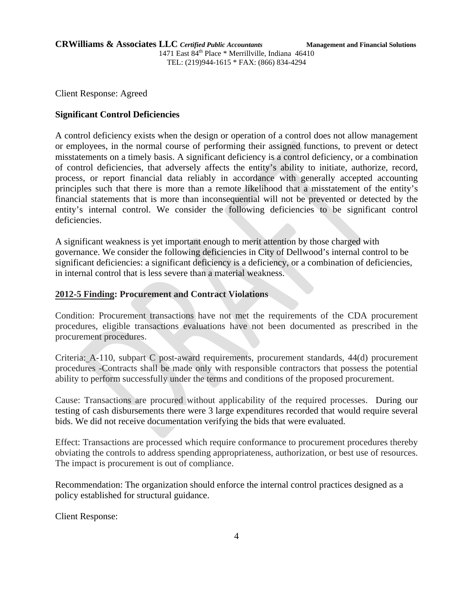Client Response: Agreed

### **Significant Control Deficiencies**

A control deficiency exists when the design or operation of a control does not allow management or employees, in the normal course of performing their assigned functions, to prevent or detect misstatements on a timely basis. A significant deficiency is a control deficiency, or a combination of control deficiencies, that adversely affects the entity's ability to initiate, authorize, record, process, or report financial data reliably in accordance with generally accepted accounting principles such that there is more than a remote likelihood that a misstatement of the entity's financial statements that is more than inconsequential will not be prevented or detected by the entity's internal control. We consider the following deficiencies to be significant control deficiencies.

A significant weakness is yet important enough to merit attention by those charged with governance. We consider the following deficiencies in City of Dellwood's internal control to be significant deficiencies: a significant deficiency is a deficiency, or a combination of deficiencies, in internal control that is less severe than a material weakness.

### **2012-5 Finding: Procurement and Contract Violations**

Condition: Procurement transactions have not met the requirements of the CDA procurement procedures, eligible transactions evaluations have not been documented as prescribed in the procurement procedures.

Criteria: A-110, subpart C post-award requirements, procurement standards, 44(d) procurement procedures -Contracts shall be made only with responsible contractors that possess the potential ability to perform successfully under the terms and conditions of the proposed procurement.

Cause: Transactions are procured without applicability of the required processes. During our testing of cash disbursements there were 3 large expenditures recorded that would require several bids. We did not receive documentation verifying the bids that were evaluated.

Effect: Transactions are processed which require conformance to procurement procedures thereby obviating the controls to address spending appropriateness, authorization, or best use of resources. The impact is procurement is out of compliance.

Recommendation: The organization should enforce the internal control practices designed as a policy established for structural guidance.

Client Response: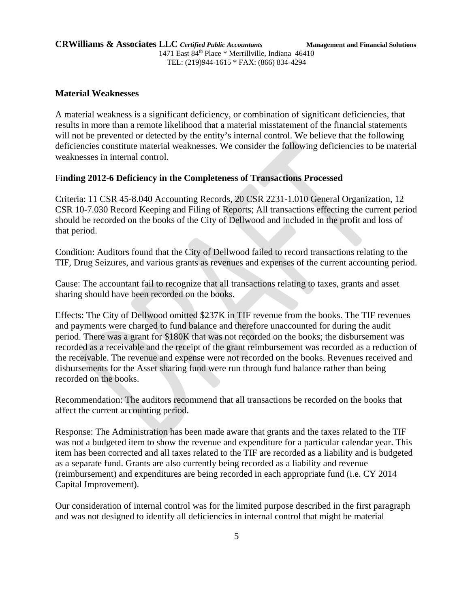#### **Material Weaknesses**

A material weakness is a significant deficiency, or combination of significant deficiencies, that results in more than a remote likelihood that a material misstatement of the financial statements will not be prevented or detected by the entity's internal control. We believe that the following deficiencies constitute material weaknesses. We consider the following deficiencies to be material weaknesses in internal control.

#### Fi**nding 2012-6 Deficiency in the Completeness of Transactions Processed**

Criteria: 11 CSR 45-8.040 Accounting Records, 20 CSR 2231-1.010 General Organization, 12 CSR 10-7.030 Record Keeping and Filing of Reports; All transactions effecting the current period should be recorded on the books of the City of Dellwood and included in the profit and loss of that period.

Condition: Auditors found that the City of Dellwood failed to record transactions relating to the TIF, Drug Seizures, and various grants as revenues and expenses of the current accounting period.

Cause: The accountant fail to recognize that all transactions relating to taxes, grants and asset sharing should have been recorded on the books.

Effects: The City of Dellwood omitted \$237K in TIF revenue from the books. The TIF revenues and payments were charged to fund balance and therefore unaccounted for during the audit period. There was a grant for \$180K that was not recorded on the books; the disbursement was recorded as a receivable and the receipt of the grant reimbursement was recorded as a reduction of the receivable. The revenue and expense were not recorded on the books. Revenues received and disbursements for the Asset sharing fund were run through fund balance rather than being recorded on the books.

Recommendation: The auditors recommend that all transactions be recorded on the books that affect the current accounting period.

Response: The Administration has been made aware that grants and the taxes related to the TIF was not a budgeted item to show the revenue and expenditure for a particular calendar year. This item has been corrected and all taxes related to the TIF are recorded as a liability and is budgeted as a separate fund. Grants are also currently being recorded as a liability and revenue (reimbursement) and expenditures are being recorded in each appropriate fund (i.e. CY 2014 Capital Improvement).

Our consideration of internal control was for the limited purpose described in the first paragraph and was not designed to identify all deficiencies in internal control that might be material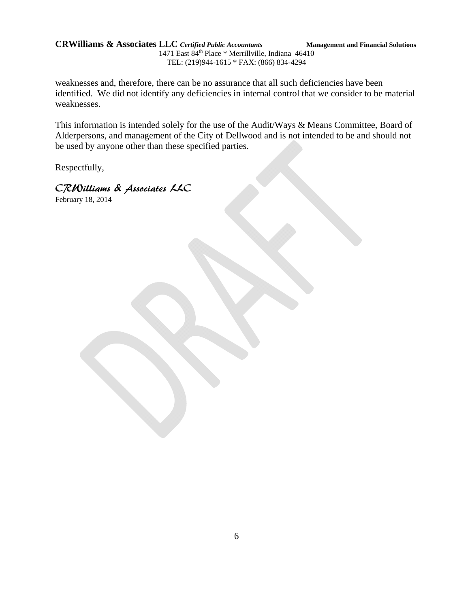**CRWilliams & Associates LLC** *Certified Public Accountants* **Management and Financial Solutions** 1471 East 84th Place \* Merrillville, Indiana 46410

TEL: (219)944-1615 \* FAX: (866) 834-4294

weaknesses and, therefore, there can be no assurance that all such deficiencies have been identified. We did not identify any deficiencies in internal control that we consider to be material weaknesses.

This information is intended solely for the use of the Audit/Ways & Means Committee, Board of Alderpersons, and management of the City of Dellwood and is not intended to be and should not be used by anyone other than these specified parties.

Respectfully,

CRWilliams & Associates LLC

February 18, 2014